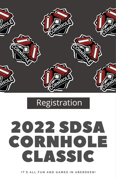

## **Registration**

# 2022 SDSA CORNHOLE CLASSIC

IT'S ALL FUN AND GAMES IN ARERDEEN!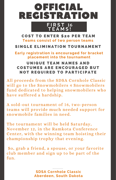### **F I R S T 16 T E A M S !** OFFICIAL REGISTRATION

#### **COST TO ENTER \$20 PER TEAM Teams consist of two person teams**

#### SINGLE ELIMINATION TOURNAMENT

**Early registration is encouraged for bracket placement into the tournament**

#### UNIQUE TEAM NAMES AND COSTUMES ARE ENCOURAGED BUT NOT REQUIRED TO PARTICIPATE

All proceeds from the SDSA Cornhole Classic will go to the Snowmobilers 4 Snowmobilers fund dedicated to helping snowmobilers who have suffered a hardship.

A sold-out tournament of 16, two-person teams will provide much needed support for snowmobile families in need.

The tournament will be held Saturday, November 12, in the Ramkota Conference Center, with the winning team hoisting their championship trophy that evening.

So, grab a friend, a spouse, or your favorite club member and sign up to be part of the fun.

> **SDSA Cornhole Classic Aberdeen, South Dakota**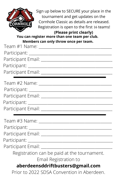

Sign up below to SECURE your place in the tournament and get updates on the Cornhole Classic as details are released. Registration is open to the first 16 teams!

#### **(Please print clearly) You can register more than one team per club. Members can only throw once per team.**

| s can only throw once per ceann                   |
|---------------------------------------------------|
|                                                   |
|                                                   |
|                                                   |
|                                                   |
|                                                   |
|                                                   |
|                                                   |
|                                                   |
|                                                   |
|                                                   |
|                                                   |
|                                                   |
|                                                   |
| Participant Email: ______________________________ |
| Registration can be paid at the tournament.       |
| Email Registration to                             |
| aberdeensddriftbusters@gmail.com                  |
| Prior to 2022 SDSA Convention in Aberdeen.        |